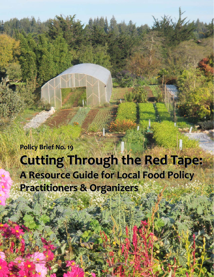**Policy Brief No. 19 Cutting Cutting Through Through the Red Tape: A Resource Resource Guide for Local Food Policy Practitioners & Organizers**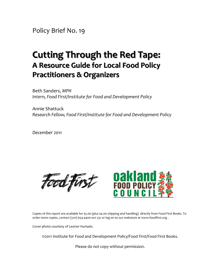Policy Brief No. 19

# **Cutting Cutting Through Through the Red Tape: A Resource Resource Guide for Local Food Policy Practitioners & Organizers**

Beth Sanders, *MPH Intern, Food First/Institute for Food and Development Policy*

Annie Shattuck *Research Fellow, Food First/Institute for Food and Development Policy*

*December 2011*





Copies of this report are available for \$5.00 (plus \$4.00 shipping and handling) directly from Food First Books. To order more copies, contact (510) 654‐4400 ext 232 or log on to our webstore at www.foodfirst.org .

Cover photo courtesy of Leonor Hurtado.

©2011 Institute for Food and Development Policy/Food First/Food First Books.

Please do not copy without permission.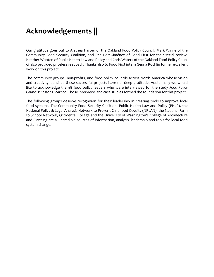## **Acknowledgements ||**

Our gratitude goes out to Alethea Harper of the Oakland Food Policy Council, Mark Winne of the Community Food Security Coalition, and Eric Holt‐Giménez of Food First for their initial review. Heather Wooten of Public Health Law and Policy and Chris Waters of the Oakland Food Policy Coun‐ cil also provided priceless feedback. Thanks also to Food First intern Genna Rochlin for her excellent work on this project.

The community groups, non-profits, and food policy councils across North America whose vision and creativity launched these successful projects have our deep gratitude. Additionally we would like to acknowledge the 48 food policy leaders who were interviewed for the study *Food Policy Councils: Lessons Learned*. Those interviews and case studies formed the foundation for this project.

The following groups deserve recognition for their leadership in creating tools to improve local food systems. The Community Food Security Coalition, Public Health Law and Policy (PHLP), the National Policy & Legal Analysis Network to Prevent Childhood Obesity (NPLAN), the National Farm to School Network, Occidental College and the University of Washington's College of Architecture and Planning are all incredible sources of information, analysis, leadership and tools for local food system change.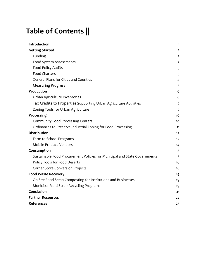# **Table of Contents ||**

| Introduction                                                              | 1                       |
|---------------------------------------------------------------------------|-------------------------|
| <b>Getting Started</b>                                                    | 2                       |
| Funding                                                                   | 2                       |
| Food System Assessments                                                   | 2                       |
| Food Policy Audits                                                        | $\overline{\mathbf{3}}$ |
| <b>Food Charters</b>                                                      | 3                       |
| <b>General Plans for Cities and Counties</b>                              | 4                       |
| <b>Measuring Progress</b>                                                 | 5                       |
| Production                                                                | 6                       |
| Urban Agriculture Inventories                                             | 6                       |
| Tax Credits to Properties Supporting Urban Agriculture Activities         | 7                       |
| Zoning Tools for Urban Agriculture                                        | 7                       |
| Processing                                                                | 10                      |
| <b>Community Food Processing Centers</b>                                  | 10                      |
| Ordinances to Preserve Industrial Zoning for Food Processing              | 11                      |
| <b>Distribution</b>                                                       | 12                      |
| Farm to School Programs                                                   | 12                      |
| Mobile Produce Vendors                                                    | 14                      |
| Consumption                                                               | 15                      |
| Sustainable Food Procurement Policies for Municipal and State Governments | 15                      |
| Policy Tools for Food Deserts                                             | 16                      |
| <b>Corner Store Conversion Projects</b>                                   | 18                      |
| <b>Food Waste Recovery</b>                                                | 19                      |
| On-Site Food Scrap Composting for Institutions and Businesses             | 19                      |
| Municipal Food Scrap Recycling Programs                                   | 19                      |
| Conclusion                                                                | 21                      |
| <b>Further Resources</b>                                                  | 22                      |
| References                                                                | 23                      |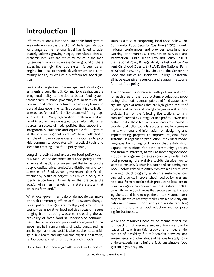## **Introduction ||**

Efforts to create a fair and sustainable food system are underway across the U.S. While large-scale policy change at the national level has failed to ade‐ quately address growing hunger, diet‐related disease, economic inequality and structural racism in the food system, many local initiatives are gaining ground on these issues. Increasingly, the food system is seen as an engine for local economic development and com‐ munity health, as well as a platform for social jus‐ tice.

Levers of change exist in municipal and county governments around the U.S. Community organizations are using local policy to develop a better food system through farm to school programs, local business incuba‐ tion and food policy councils—citizen advisory boards to city and state governments. This document is a collection of resources for local food policy assembled from groups across the U.S. Many organizations, both local and na‐ tional in scope, have developed tools, informational re‐ sources, or successful model policies that support an integrated, sustainable and equitable food system at the city or regional level. We have collected a sample of those experiences and resources to provide community advocates with practical tools and ideas for creating local food policy change.

Long-time activist and expert on food policy councils, Mark Winne describes local food policy as "the actions and in‐actions by government that influences the supply, quality, price, production, distribution and con‐ sumption of food....what government doesn't do, whether by design or neglect, is as much a policy as a specific action like a city regulation that prescribes the location of farmers markets or a state statute that protects farmland."1

What local governments do or do not do can make or break community efforts at food system change. Local policy changes are multiplying around the country as innovative food policies focus on issues ranging from reducing waste to increasing the ac‐ cessibility of fresh food in underserved communi‐ ties. The advocates and policy makers engaged in this movement hail from a variety of backgrounds, such as anti-hunger, labor and social justice activists; sustainability, public health and city planning experts; or farmers, restaurateurs, chefs, nutritionists and schools.

There has also been a growth in networks and re‐

sources aimed at supporting local food policy. The Community Food Security Coalition (CFSC) mounts national conferences and provides excellent networking opportunities, consultation services and information. Public Health Law and Policy (PHLP), the National Policy & Legal Analysis Network to Pre‐ vent Childhood Obesity (NPLAN), the National Farm to School Network, Policy Link and the Center for Food and Justice at Occidental College, California, all have extensive resources and support networks for local food policy.

This document is organized with policies and tools for each area of the food system: production, proc‐ essing, distribution, consumption, and food waste recovery. The types of actions that are highlighted consist of city‐level ordinances and zoning changes as well as pilot projects. Each of the following five sections contains "toolkits" created by a range of non‐profits, universities, or think tanks. These featured documents are intended to provide food policy councils, advocates and local govern‐ ments with ideas and information for designing and implementing projects to improve regional food systems. In regards to production, they offer model language for zoning ordinances that establish or expand protections for both community gardens and farmers' markets, as well as how neighborhood groups can organize to create a community garden. With food processing, the available toolkits describe how to start a community kitchen incubator and supporting net‐ work. Toolkits related to distribution explain how to start a farm‐to‐school program, establish a sustainable food purchasing policy, improve school food policy rules and help local farmers market their products to local institutions. In regards to consumption, the featured toolkits cover city zoning ordinances that encourage healthy eat‐ ing choices and how to organize a healthy corner store project. The waste recovery toolkits explain how city officials can implement food and yard waste recycling programs and on‐site food reduction and compost‐ ing for businesses.

While the resources here by no means reflect the full spectrum of relevant examples or tools, we hope the reader will take from this resource list an idea of the breadth of possibility for collaboration between local governments and advocates, and be able to apply some of these experiences to build a just, sustainable food system in your region.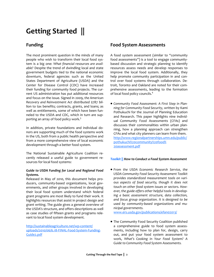# **Getting Started ||**

## **Funding**

The most prominent question in the minds of many people who wish to transform their local food system is a big one: *What financial resources are avail‐ able?* Despite the trend of dwindling local and state government budgets tied to the national economic downturn, federal agencies such as the United States Department of Agriculture (USDA) and the Center for Disease Control (CDC) have increased their funding for community food projects. The cur‐ rent US administration has put additional resources and focus on the issue. Signed in 2009, *the American Recovery and Reinvestment Act* distributed \$787 bil‐ lion to tax benefits; contracts, grants, and loans; as well as entitlements, some of which have been funneled to the USDA and CDC, which in turn are supporting an array of food policy work.<sup>3</sup>

In addition, private foundations and individual do‐ nors are supporting much of the food systems work in the US, both from a public health perspective and from a more comprehensive view of local economic development through a better food system.

The National Sustainable Agriculture Coalition re‐ cently released a useful guide to government re‐ sources for local food systems:

## *Guide to USDA Funding for Local and Regional Food Systems.*

Released in May of 2010, this document helps pro‐ ducers, community‐based organizations, local gov‐ ernments, and other groups involved in developing their local food system understand which federal grant programs are most likely to fund their work. It highlights resources that assist in project design and grant writing. The guide gives a general overview of the USDA's structure, and offers descriptions as well as case studies of fifteen grants and programs rele‐ vant to local food system development.

http://sustainableagriculture.net/wp-content/ uploads/2010/06/6.18-FINAL-Food-System-Funding-Guide2.pdf

## **Food System Assessments**

A food system assessment (similar to "community food assessments") is a tool to engage community‐ based discussion and strategic planning to identify resources assess needs and develop responses to improve the local food system. Additionally, they help promote community participation in and control over food systems through collaboration. De‐ troit, Toronto and Oakland are noted for their com‐ prehensive assessments, leading to the formation of local food policy councils.<sup>4</sup>

*Community Food Assessment: A First Step in Plan‐ ning for Community Food Security*, written by Kami Pothukuchi for the Journal of Planning Education and Research. This paper highlights nine individ‐ ual Community Food Assessments (CFAs) and discusses their commonalities within urban plan‐ ning, how a planning approach can strengthen CFAs and what city planners can learn from them. http://www.regionalpartnerships.umn.edu/public/ pothukuchi%20community%20food% 20assessment.pdf

## *Toolkit || How to Conduct a Food System Assessment*

*From the USDA Economic Research Service, the USDA Community Food Security Assessment Toolkit provides standardized measurement tools on vari‐ ous aspects of food security, though it does not touch on other food system issues or sectors. How‐ ever, the guide offers other helpful tools in develop‐ ing a basic assessment structure, data collection, and focus group organization. It is designed to be used by community‐based organizations and mu‐ nicipal governments.* 

www.ers.usda.gov/publications/efan02013/

The Community Food Security Coalition published a comprehensive guide to food system assess‐ ments, including how to plan for, design, carry out, and put your food system assessment to work, *What's Cooking in Your Food System? A Guide to Community Food System Assessments.*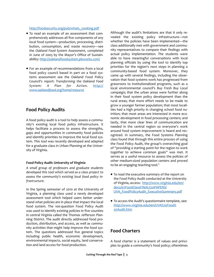#### http://foodsecurity.org/pub/whats\_cooking.pdf

- To read an example of an assessment that com‐ prehensively addresses all five components of any local food system—production, processing, distri‐ bution, consumption, and waste recovery—see the *Oakland Food System Assessment*, completed in June of 2005 by the Mayor's Office of Sustain‐ ability: http://oaklandfoodsystem.pbworks.com/
- For an example of recommendations from a local food policy council based in part on a food systems assessment see the Oakland Food Policy Council's report: *Transforming the Oakland Food System: A Plan for Action. http:// www.oaklandfood.org/home/resource*

## **Food Policy Audits**

A food policy audit is a tool to help assess a commu‐ nity's existing local food policy infrastructure. It helps facilitate a process to assess the strengths, gaps and opportunities in community food policies and identify priorities to improve the local food system. This tool was recently developed and adapted for a graduate class in Urban Planning at the Univer‐ sity of Virginia.

#### **Food Policy Audit: University of Virginia**

*A small group of professors and graduate students developed this tool which served as a class project to assess the community's existing local food policy in‐ frastructure.* 

In the Spring semester of 2010 at the University of Virginia, a planning class used a newly developed assessment tool which helped users better under‐ stand what policies are in place that impact the local food system. The 100‐question Food Policy Audit was used to identify existing policies in five counties in central Virginia called the Thomas Jefferson Plan‐ ning District. The audit directly addressed food pro‐ duction, distribution, and access, as well as commu‐ nity activities that might help improve the food sys‐ tem. The questions addressed five general topics including public health, economic development, environmental impacts, social equity, land conserva‐ tion and land access for food production.

Although the audit's limitations are that it only re‐ vealed the existing policy infrastructure—not whether the policies have been implemented—the class additionally met with government and commu‐ nity representatives to compare their findings with actual policy implementation. The students were able to have meaningful conversations with local planning officials by using the tool to identify top priorities for the region's next steps in planning a community-based food system. Moreover, they came up with several findings, including the obser‐ vation that food systems work has progressed from grassroots to institutionalized programs, such as a local environmental council's *Buy Fresh Buy Local* campaign; that the urban areas were further along in their food system policy development than the rural areas; that more effort needs to be made to grow a younger farmer population; that most locali‐ ties had a high priority in changing school food nu‐ trition; that most areas are interested in more economic development in food processing centers; and lastly, that more clear lines of communication are needed in the central region so everyone's work around food system improvement is heard and rec‐ ognized. In summary, the Food Systems Planning class found that through this entire process of using the Food Policy Audit, the group's overarching goal of "providing a starting point for the region to work together to achieve common goals" was met. It serves as a useful resource to assess the policies of other medium‐sized population centers and proved to be an engaging teaching tool.<sup>5</sup>

- To read the executive summary of the report on the Food Policy Audit conducted at the University of Virginia, access: http://www.virginia.edu/ien/ docs/07FoodClassFINAL%20PAPERS/ UVA\_FoodPolicyAudit\_ExecutiveSummary.pdf
- To access the Audit's questionnaire template, see: http://www.virginia.edu/ien/UVA%20Food% 20Audit.htm

## **Food Charters**

A food charter is a statement of values and princi‐ ples to guide a community's food policy; oftentimes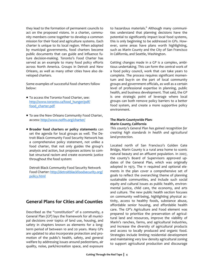they lead to the formation of permanent councils to act on the proposed visions. In a charter, community members come together to develop a common mission for their food and agriculture systems. Each charter is unique to its local region. When adopted by municipal governments, food charters become public documents that can guide and influence fu‐ ture decision-making. Toronto's Food Charter has served as an example to many food policy efforts across North America. Groups in Detroit and New Orleans, as well as many other cities have also de‐ veloped charters.

Some examples of successful food charters follow below:

- To access the Toronto Food Charter, see: http://www.toronto.ca/food\_hunger/pdf/ food\_charter.pdf
- To see the New Orleans Community Food Charter, access: http://www.noffn.org/charter/
- **Broader food charters or policy statements** can set the agenda for local groups as well. The De‐ troit Black Community Food Security Network has a comprehensive policy statement, not unlike a food charter, that not only guides the group's analysis and action, but proposes actions to com‐ bat structural racism and create economic justice throughout the food system:

Detroit Black Community Food Security Network Food Charter: http://detroitblackfoodsecurity.org/ policy.html

## **General Plans for Cities and Counties**

Described as the "constitution" of a community, a General Plan (GP) lays the framework for all munici‐ pal decisions over topics of land use, housing, and safety in chapters known as elements for a longterm period of between 10 and 20 years. Many GPs are updated to also incorporate protection and pro‐ motion of the public's health, safety, and general welfare by addressing issues around pedestrians, air quality, noise, park/recreation space, and exposure to hazardous materials.<sup>6</sup> Although many communities understand that planning decisions have the potential to significantly impact local food systems, this is only beginning to be addressed in GPs. How‐ ever, some areas have plans worth highlighting, such as Marin County and the City of San Francisco in California, and Seattle, Washington.

Getting changes made in a GP is a complex, ambi‐ tious undertaking. This can form the central work of a food policy council, work that can take years to complete. The process requires significant momen‐ tum and buy‐in on the part of local community groups and government officials, as well as a certain level of professional expertise in planning, public health, and business development. That said, the GP is one strategic point of leverage where local groups can both remove policy barriers to a better food system, and create a more supportive policy environment.

#### **The Marin Countywide Plan: Marin County, California**

*This county's General Plan has gained recognition for creating high standards in health and agricultural land protection.* 

Located north of San Francisco's Golden Gate Bridge, Marin County is a rural area home to scenic natural beauty and an affluent population. In 2007, the county's Board of Supervisors approved up‐ dates of the General Plan, which was originally adopted in 1973. The 11 required and optional ele‐ ments in the plan cover a comprehensive set of goals to reflect the overarching theme of planning sustainable communities, and include such social equity and cultural issues as public health, environ‐ mental justice, child care, the economy, and arts and culture. The new public health section focuses on community well-being, highlighting physical activity, access to healthy foods, substance abuse, affordable senior housing, and affordable health care. The GP's Agriculture and Food element was prepared to prioritize the preservation of agricul‐ tural land and resources, improve the viability of Marin's ranches, farms, and agricultural industries, and increase the diversity of agricultural products and access to locally produced and organic food. Strategies include limiting residential development and maintaining very low density agricultural zoning to support agricultural production and discourage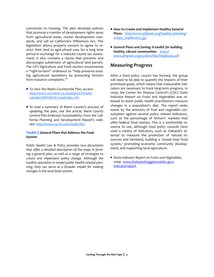conversion to housing. The plan develops policies that promote a transfer of development rights away from agricultural areas, cluster development standards, and call on California's Williamson Act. This legislation allows property owners to agree to re‐ strict their land to agricultural uses for a long time period in exchange for a reduced county tax assess‐ ment; it also contains a clause that prevents and discourages subdivision of agricultural land parcels. The GP's Agriculture and Food section recommends a "right-to-farm" ordinance to "help preserve existing agricultural operations by protecting farmers from nuisance complaints."7

- To view the Marin Countywide Plan, access: http://www.co.marin.ca.us/depts/CD/main/ comdev/ADVANCE/cwp/index.cfm
- To read a summary of Marin County's process of updating the plan, see the article*, Marin County General Plan Embraces Sustainability*, from the Cali‐ fornia Planning and Development Report's web‐ site: http://www.cp-dr.com/node/1891

## **Toolkit || General Plans that Address the Food System**

*Public Health Law & Policy provides two documents that offer a detailed description of the steps in form‐ ing a general plan, as well as a range of strategies to create and implement policy change. Although the toolkits specialize in model public health‐related plan‐ ning, they can serve as a broader model for making changes in the local food system.* 

- **How to Create and Implement Healthy General Plans:**  http://www.phlpnet.org/healthy‐planning/ create\_implement\_gp
- *General Plans and Zoning: A toolkit for building healthy, vibrant communities:*  http:// www.phlpnet.org/system/files/finalbook.pdf

## **Measuring Progress**

After a food policy council has formed, the group will need to be able to quantify the impacts of their prioritized goals, which means that measurable indi‐ cators are necessary to track long-term progress. In 2009, the Center for Disease Control's (CDC) State Indicator Report on Fruits and Vegetables was re‐ leased to assist public health practitioners measure changes in a population's diet. The report ranks states by the amounts of fruit and vegetable consumption against several policy related indicators, such as the percentage of farmers' markets that offer federal food stamps. This is a worthwhile re‐ source to use, although food policy councils have used a variety of indicators, such as Oakland's attempt to measure the protection of natural re‐ sources and farmland, building a 'closed loop food system,' promoting economic community development, and supporting local agriculture.

*State Indicator Report on Fruits and Vegetables, 2009:* www.fruitsandveggiesmatter.gov/ indicatorreport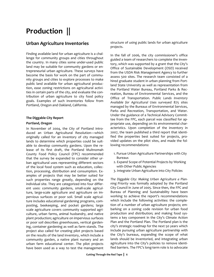## **Production ||**

## **Urban Agriculture Inventories**

Finding available land for urban agriculture is a chal‐ lenge for community groups and cities throughout the country. In many cities some under‐used public land may be suitable for community gardens or entrepreneurial urban agriculture. These surveys have become the basis for work on the part of community groups and cities to explore processes to make public land available for urban agricultural produc‐ tion, ease zoning restrictions on agricultural activi‐ ties in certain parts of the city, and evaluate the con‐ tribution of urban agriculture to city food policy goals. Examples of such inventories follow from Portland, Oregon and Oakland, California.

## **The Diggable City Report**

## **Portland, Oregon**

In November of 2004, the City of Portland intro‐ duced an Urban Agricultural Resolution—which originally called for an inventory of city managed lands to determine which properties could be suit‐ able to develop community gardens. Upon the re‐ lease of its first draft, the Portland Multnomah County Food Policy Council (FPC) recommended that the survey be expanded to consider other ur‐ ban agricultural uses representing different sectors of the local food system such as education, collec‐ tion, processing, distribution and consumption. Ex‐ amples of projects that may be better suited for such properties range greatly, depending on the individual site. They are categorized into four differ‐ ent uses: community gardens, small-scale agriculture, large‐scale agriculture and agriculture on im‐ pervious surfaces or poor soil. Small scale agricul‐ ture includes educational gardening programs, com‐ posting, beekeeping, and pocket gardens; large scale agriculture covers community supported agri‐ culture, urban farms, animal husbandry, and native plant production; agriculture on impervious surfaces or poor soil describes greenhouses, vertical garden‐ ing, container gardening as well as farm stands. The project also called for creating pilot projects based on the results of the land inventory, which include a community garden, a native plant nursery and an urban farm educational center. The pilot projects have been used as a way to test the management structure of using public lands for urban agriculture projects.

In the fall of 2006, the city commissioner's office guided a team of researchers to complete the inven‐ tory, which was supported by a grant that the City's Office of Sustainable Development (OSD) received from the USDA Risk Management Agency to further assess 500 sites. The research team consisted of a hired graduate student in urban planning from Port‐ land State University as well as representation from the Portland Water Bureau, Portland Parks & Rec‐ reation, Bureau of Environmental Services, and the Office of Transportation. *Public Lands Inventory Available for Agricultural Uses* surveyed 875 sites managed by the Bureaus of Environmental Services, Parks and Recreation, Transportation, and Water. Under the guidance of a Technical Advisory Commit‐ tee from the FPC, each parcel was classified for ap‐ propriate use, depending on its environmental char‐ acteristics. Upon completion of the inventory in 2007, the team published a third report that identi‐ fied the properties best suited for projects, pro‐ vided updates on the pilot sites, and made the fol‐ lowing recommendations:

- 1. Pursue Urban Agriculture Partnerships with City Bureaus
- 2. Expand Scope of Potential Projects by Working with Other Public Agencies
- 3. Integrate Urban Agriculture into City Policies

*The Diggable City: Making Urban Agriculture a Plan‐ ning Priority* was formally adopted by the Portland City Council in June of 2005. Since then, the FPC and Bureau of Planning and Sustainability have been working to achieve the report's recommendations which include the following activities: the comple‐ tion of a number of urban agriculture projects; em‐ barking on a zoning code revision for urban food production and distribution; and making food sys‐ tems a key component in the City's Climate Action Plan and the Portland Plan. The Portland plan is the city's strategic roadmap for the next 50 years which include pursuing urban agriculture partnership with the City's bureaus, expanding the scope of what lands should be inventoried, and integrating urban agriculture into the City's policies to remove identi‐ fied barriers. The FPC's long-term role is to advocate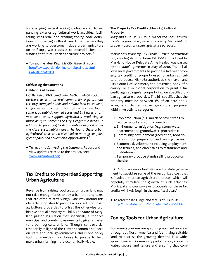for changing several zoning codes related to ex‐ panding exterior agricultural work activities, facilitating small‐retail and creating zoning code defini‐ tions for urban agricultural uses. Other barriers they are working to overcome include urban agriculture on roof‐tops, water access to potential sites, and funding for future urban agriculture projects.<sup>8</sup>

To read the latest *Diggable City Phase III* report: http://www.portlandonline.com/bps/index.cfm? c=42793&a=171174

#### *Cultivating the Commons*

#### **Oakland, California**

*UC Berkeley PhD candidate Nathan McClintock, in partnership with several community organizations recently surveyed public and private land in Oakland, California suitable for urban agriculture. He found some 1200 publicly owned acres and 848 acres of pri‐ vate land could support agriculture, producing as much as 15‐20 percent the City's vegetable needs. In addition to providing fresh and nutritious food under the city's sustainability goals, he found these urban agricultural areas could also lead to more green jobs, green space, and educational opportunities.*<sup>9</sup>

To read the *Cultivating the Commons* Report and view updates related to the project, see: www.urbanfood.org

## **Tax Credits to Properties Supporting Urban Agriculture**

Revenue from raising food crops on urban land may not raise enough funds to pay urban property taxes that are often relatively high. One way around this obstacle is for cities to provide a tax credit for urban agriculture properties to offset the otherwise pro‐ hibitive annual property tax bills. The State of Mary‐ land passed legislation that specifically authorizes municipal and county governments to give tax relief to urban agriculture land. Though controversial (especially in light of the current economic squeeze on state and local governments), this is one policy tool communities may choose to pursue to help make urban farming more economically viable.

## **The Property Tax Credit ‐ Urban Agricultural Property**

*Maryland's House Bill 1062 authorized local govern‐ ments to provide a five‐year property tax credit for property used for urban agriculture purposes.*

Maryland's *Property Tax Credit ‐ Urban Agricultural Property* legislation (House Bill 1062) introduced by Maryland House Delegate Anne Healey was passed by the state's governor in May of 2010. The bill al‐ lows local governments to provide a five-year property tax credit for property used for urban agricul‐ tural purposes. HB 1062 authorizes the mayor and City Council of Baltimore, the governing body of a county, or a municipal corporation to grant a tax credit against regular property tax on specified ur‐ ban agriculture properties. The bill specifies that the property must be between 1/8 of an acre and 2 acres, and defines urban agricultural purposes within five activity categories:

- 1. Crop production (e.g. mulch or cover crops to reduce runoff and control weeds);
- 2. Environmental mitigation (e.g. storm‐water abatement and groundwater protection);
- 3. Community development (recreation, food do‐ nations, food preparation and canning classes);
- 4.Economic development (including employment and training, and direct sales to restaurants and institutions);
- 5. Temporary produce stands selling produce on the site.

HB 1062 is an important gesture by state government to subsidize some of the recognized cost that is involved in urban agriculture projects, which will hopefully stimulate the growth of such activities. Municipal and country‐level proposals for these tax credits will likely begin in the 2012 fiscal year.<sup>10</sup>

To read the language and status of HB 1062: http://mlis.state.md.us/2010rs/billfile/hb1062.htm

## **Zoning Tools for Urban Agriculture**

Community gardens are sprouting up in urban areas throughout North America and identifying suitable land to address the growing demand is a wide‐ spread concern. Community participation, access to water, secure land tenure and ensuring that com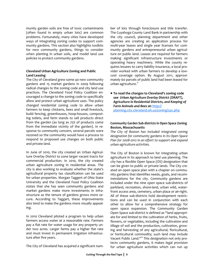munity garden soils are free of toxic contaminants (often found in empty urban lots) are common problems. Fortunately, many cities have developed ways of integrating zoning codes to support com‐ munity gardens. This section also highlights toolkits for new community gardens, things to consider when planting in urban soils, and model land use policies to protect community gardens.

## **Cleveland Urban Agriculture Zoning and Public Land Leasing**

The City of Cleveland grew some 40 new community gardens and 15 market gardens in 2009 following radical changes to the zoning code and city land use practices. The Cleveland Food Policy Coalition en‐ couraged a change to the zoning code to specifically allow and protect urban agriculture uses. The policy changed residential zoning code to allow urban farmers to keep chickens, bees and small livestock, build fencing, greenhouses, hoop‐houses, compost‐ ing toilets, and farm stands to sell products direct from the garden (as long as 75% of products come from the immediate vicinity of the garden). In re‐ sponse to community concern, several parcels were rezoned so the community would have a process to respond to proposed use changes on both public and private land.

In June of 2010, the city created an Urban Agricul‐ ture Overlay District to zone larger vacant tracts for commercial production. In 2010, the city created urban agriculture zoning in residential areas. The city is also working to evaluate whether the state's agricultural property tax classification can be used for urban properties. Morgan Taggert of Ohio State University and the Cleveland Food Policy Coalition states that she has seen community gardens and market gardens make more investments in infra‐ structure as the tenure of gardens grows more se‐ cure. According to Taggart, these improvements also tend to make the gardens more visually appeal‐ ing.

In 2010 Cleveland piloted a program to help urban farmers access water at a reasonable rate. Farmers pay a flat rate for water usage for any property un‐ der two acres. Larger farms pay a higher flat rate and must invest in permanent irrigation infrastruc‐ ture after five years.

The City of Cleveland has acquired a significant num‐

ber of lots through foreclosure and title transfer. The Cuyahoga County Land Bank in partnership with the city council, planning department and other agencies are creating an application process for multi‐year leases and single year licenses for com‐ munity gardens and entrepreneurial urban agricul‐ ture on public land. Leases are required for farmers making significant infrastructure investments or operating heavy machinery. While the county re‐ quires lessees to carry liability insurance, a local pro‐ vider worked with urban farmers to develop a low‐ cost coverage option. By August 2011, approximately 60 parcels of public land had been leased for urban agriculture.<sup>11</sup>

**To read the changes to Cleveland's zoning code see** *Urban Agriculture Overlay District (DRAFT), Agriculture in Residential Districts, and Keeping of Farm Animals and Bees* **at:** http:// planning.city.cleveland.oh.us/zoning/cpc.php

## **Community Garden Sub‐districts in Open Space Zoning Boston, Massachusetts**

*The City of Boston has included integrated zoning designation for community gardens in its Open Space Plan for 2008‐2012 in an effort to support and expand urban agriculture activities.* 

The City of Boston is known for integrating urban agriculture in its approach to land use planning. The city has a flexible Open Space (OS) designation that can be given to public or private lands. The City cre‐ ated an open space plan with a chapter on commu‐ nity gardens that identifies needs, goals, and recom‐ mendations for the city. Community gardens are included under the nine open space sub‐districts of parkland, recreation, shore‐land, urban wild, water‐ front access area, cemetery, urban plaza or air‐right. All of these sub-districts hold development restrictions and can be used in conjunction with each other to allow for a comprehensive strategy for open space expansion. The Community Garden Open Space sub‐district is defined as "land appropri‐ ate for and limited to the cultivation of herbs, fruits, flowers, or vegetables, including the cultivation and tillage of soil and the production, cultivation, grow‐ ing and harvesting of any agricultural, floricultural, or horticultural commodity; such land may include Vacant Public Land."<sup>12</sup> This designation not only protects community gardens, it makes legal provision for urban agriculture activities which can run up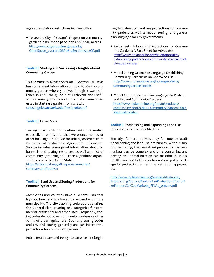against regulatory restrictions in many cities.

To see the City of Boston's chapter on community gardens in its Open Space Plan 2008‐2012, access: http://www.cityofboston.gov/parks/ OpenSpace\_07draft/OSP0812Section7.3.2CG.pdf

## **Toolkit || Starting and Sustaining a Neighborhood Community Garden**

This *Community Garden Start‐up Guide* from UC Davis has some great information on how to start a community garden where you live. Though it was pub‐ lished in 2001, the guide is still relevant and useful for community groups and individual citizens inter‐ ested in starting a garden from scratch. celosangeles.**ucdavis**.edu/files/97080.pdf

## **Toolkit || Urban Soils**

Testing urban soils for contaminants is essential, especially in empty lots that were once homes or other buildings. This guide for urban gardeners from the National Sustainable Agriculture Information Service includes some good information about ur‐ ban soils and testing resources, as well as a list of community gardening and urban agriculture organi‐ zations across the United States:

https://attra.ncat.org/attra‐pub/summaries/ summary.php?pub=21

## **Toolkit || Land Use and Zoning Protections for Community Gardens**

Most cities and counties have a General Plan that lays out how land is allowed to be used within the municipality. The city's zoning code operationalizes the General Plan, creating use categories for com‐ mercial, residential and other uses. Frequently, zoning codes do not cover community gardens or other forms of urban agriculture. Both city zoning codes and city and county general plans can incorporate protections for community gardens.<sup>13</sup>

Public Health Law and Policy has an excellent begin‐

ning fact sheet on land use protections for commu‐ nity gardens as well as model zoning, and general plan language for city governments.

- Fact sheet ‐ Establishing Protections for Commu‐ nity Gardens: A Fact Sheet for Advocates http://www.nplanonline.org/nplan/products/ establishing‐protections‐community‐gardens‐fact‐ sheet‐advocates
- Model Zoning Ordinance Language Establishing Community Gardens as an Approved Use: http://www.nplanonline.org/nplan/products/ CommunityGardenToolkit
- Model Comprehensive Plan Language to Protect and Expand Community Gardens: http://www.nplanonline.org/nplan/products/ establishing‐protections‐community‐gardens‐fact‐ sheet‐advocates

## **Toolkit || Establishing and Expanding Land Use Protections for Farmers Markets**

Similarly, farmers markets may fall outside tradi‐ tional zoning and land use ordinances. Without sup‐ portive zoning, the permitting process for farmers' markets can be complex and time consuming and getting an optimal location can be difficult. Public Health Law and Policy also has a great policy pack‐ age for protecting farmer's markets as an approved use.

http://www.nplanonline.org/system/files/nplan/ Establishing%20Land%20Use%20Protections%20for% 20Farmers%27%20Markets\_FINAL\_091203.pdf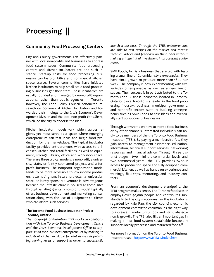# **Processing ||**

## **Community Food Processing Centers**

City and County governments can effectively part‐ ner with local non‐profits and businesses to address food system issues. Community food processing centers and kitchen incubators are one such in‐ stance. Start-up costs for food processing businesses can be prohibitive and commercial kitchen space scarce. Several communities have initiated kitchen incubators to help small scale food process‐ ing businesses get their start. These incubators are usually founded and managed by non‐profit organi‐ zations, rather than public agencies. In Toronto however, the Food Policy Council conducted re‐ search on Commercial Kitchen Incubators and for‐ warded their findings to the City's Economic Devel‐ opment Division and the local non‐profit *FoodShare*, which led the city to endorse the idea.

Kitchen incubator models vary widely across re‐ gions, yet most serve as a space where emerging entrepreneurs can test ideas and begin food pro‐ duction for the marketplace. The typical incubator facility provides entrepreneurs with access to a li‐ censed kitchen and retail facilities, as well as equip‐ ment, storage, library, office and workshop space. There are three typical models: a nonprofit, a univer‐ sity, state, or jointly sponsored project, and a for‐ profit business. The nonprofit organization model tends to be more accessible to low income produc‐ ers attempting small‐scale projects; a university, state, or jointly‐sponsored venture is advantageous because the infrastructure is housed at these sites through existing grants; a for‐profit model typically offers business development and marketing consul‐ tation along with the use of equipment to clients who can afford such services.

## **The Toronto Food Business Incubator Project Toronto, Ontario**

*The non‐profit organization TFBI works in collabora‐ tion with the Toronto Business Development Centre and the City's Economic Development Office to sup‐ port small food business entrepreneurs by making an industrial kitchen available for rent as well as provid‐ ing varying levels of support in order to successfully* *launch a business. Through the TFBI, entrepreneurs are able to test recipes on the market and receive technical advice and feedback on their ideas without making a huge initial investment in processing equip‐ ment.* 

SMP Foods, Inc. is a business that started with testing a small line of Colombian‐style *empanadas*. They have since grown to produce more than 1800 per week. The company is now experimenting with five varieties of empanadas as well as a new line of sauces. Their success is in part attributed to the Toronto Food Business Incubator, located in Toronto, Ontario. Since Toronto is a leader in the food proc‐ essing industry, business, municipal government, and nonprofit sectors support budding entrepre‐ neurs such as SMP Foods to test ideas and eventu‐ ally start up successful businesses.

Through workshops on how to start a food business or by other channels, interested individuals can ap‐ ply to be members of the the Toronto Food Business Incubator (TFBI). By paying a membership fee, they gain access to management assistance, education, information, technical support services, networking resources and financial advice. Through three dis‐ tinct stages—two mini pre‐commercial levels and two commercial years—the TFBI provides 24‐hour access to production space and fully equipped com‐ mercial kitchen, as well as hands on experience and trainings, field‐trips, mentoring, and industry con‐ tacts.

From an economic development standpoint, the TFBI program makes sense. The Toronto food sector employs over 40,000 people and contributes sub‐ stantially to the city's economy, so the incubator is regarded by Kyle Rae, the city council's economic development committee chairman, as the right way to increase manufacturing jobs and stimulate eco‐ nomic growth. The TFBI also fills an important gap in making a local food system sustainable because it supports locally processed and marketed foods.<sup>14</sup>

For more information on the Toronto Food Business Incubator, see: http://www.tfbi.ca/index.htm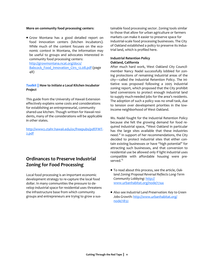#### **More on community food processing centers**:

Grow Montana has a good detailed report on food innovation centers (kitchen incubators). While much of the content focuses on the economic context in Montana, the information may be useful to groups and advocates interested in community food processing centers: http://growmontana.ncat.org/docs/

Babcock\_Food\_Innovation\_Ctrs\_12.08.pdf (page 48)

## *Toolkit ||* **How to** *Initiate a Local Kitchen Incubator Project*

This guide from the University of Hawaii Extension effectively explains some costs and considerations for establishing an entrepreneurial, community shared‐use kitchen. Though written for Hawaii resi‐ dents, many of the considerations will be applicable in other states.

http://www2.ctahr.hawaii.edu/oc/freepubs/pdf/FMT‐ 2.pdf

## **Ordinances to Preserve Industrial Zoning for Food Processing**

Local food processing is an important economic development strategy to re‐capture the local food dollar. In many communities the pressure to de‐ velop industrial space for residential uses threatens the infrastructure base from which community groups and entrepreneurs are trying to grow a sus‐

tainable food processing sector. Zoning tools similar to those that allow for urban agriculture or farmers markets can make it easier to preserve space for industrial‐scale food processing businesses. The City of Oakland established a policy to preserve its indus‐ trial land, which is profiled here.

#### **Industrial Retention Policy Oakland, California**

After much hard work, West Oakland City Council‐ member Nancy Nadel successfully lobbied for zon‐ ing protections of remaining industrial areas of the city—called the Industrial Retention Policy. The ini‐ tiative was proposed following a 2005 industrial zoning report, which proposed that the City prohibit land conversions to protect enough industrial land to supply much‐needed jobs for the area's residents. The adoption of such a policy was no small task, due to tension over development priorities in the low‐ income neighborhood of West Oakland.

Ms. Nadel fought for the Industrial Retention Policy because she felt the growing demand for food re‐ quired industrial space, "West Oakland in particular has the large sites available that these industries need." In support of her recommendations, the City decided to protect industrial sites that either con‐ tain existing businesses or have "high potential" for attracting such businesses, and that conversion to residential use be allowed only if light industrial uses compatible with affordable housing were pre‐ served.<sup>15</sup>

- To read about this process, see the article, *Oak‐ land Zoning Proposal Reversal Reflects Long‐Term Community Lobbying*: http:// www.urbanhabitat.org/node/1744
- Also see *Industrial Land Preservation: Key to Green Jobs Growth*: http://www.urbanhabitat.org/ node/1832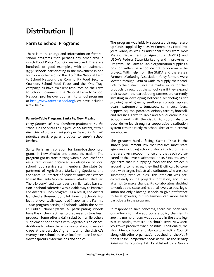# **Distribution ||**

## **Farm to School Programs**

There is more energy and information on farm‐to‐ school programs than perhaps any other area in which Food Policy Councils are involved. There are hundreds of good examples, with an estimated 9,756 schools participating in the movement in one form or another around the U.S.<sup>16</sup> The National Farm to School Network, the Community Food Security Coalition, School Food Focus and the 'One Tray' campaign all have excellent resources on the Farm to School movement. The National Farm to School Network profiles over 200 farm to school programs at http://www.farmtoschool.org/. We have included a few below.

## **Farm‐to‐Table Program: Santa Fe, New Mexico**

*Forty farmers sell and distribute produce to all the schools in the Santa Fe Unified School District, with a district‐level procurement policy in the works that will prioritize local, organic produce to supply school lunches.* 

Santa Fe is an inspiration for farm-to-school programs in New Mexico and across the nation. The program got its start in 2003 when a local chef and restaurant owner organized a delegation of local school food service staff members, the state De‐ partment of Agriculture Marketing Specialist and the Santa Fe Director of Student Nutrition Services to visit the Santa Monica Farmers' Market Salad Bar. The trip convinced attendees a similar salad bar sta‐ tion in school cafeterias was a viable way to improve the district's lunch program. As a result, the district launched a three‐school pilot Farm to Schools Pro‐ ject that eventually expanded in 2003 as the *Farm‐to ‐Table* program serving all schools within the Santa Fe Public School System. All participating schools have the kitchen facilities to prepare and store fresh produce. Some offer a daily salad bar, while others supplement hot entrees with vegetable side dishes. Additionally, when there is a seasonal abundance of crops at the participating farms, all of the district's twenty-nine schools receive local produce like sunflower sprouts, watermelons and apples.

The program was initially supported through start‐ up funds supplied by a USDA Community Food Pro‐ jects Grant, as well as additional funds from New Mexico Department of Agriculture (NMDA) and USDA's Federal State Marketing and Improvement Program. The Farm to Table organization supplies a position within the school district to coordinate the project. With help from the SMDA and the state's Farmers' Marketing Association, forty farmers were located through *Farm‐to‐Table* to supply their prod‐ ucts to the district. Since the market exists for their products throughout the school year if they expand their season, the participating farmers are currently investing in developing hothouse technologies for growing salad greens, sunflower sprouts, apples, pears, watermelons, tomatoes, corn, cucumbers, peppers, squash, potatoes, onions, carrots, broccoli, and radishes. Farm to Table and Albuquerque Public Schools work with the district to coordinate pro‐ duce deliveries through a cooperative distribution system either directly to school sites or to a central warehouse.

The greatest hurdle facing *Farm‐to‐Table* is the state's procurement law that requires most state agencies (including school districts) to bid on items that are over \$10,000 in price and that each bid se‐ cured at the lowest submitted price. Since the aver‐ age farm that is supplying food for the project is around 10 to 15 acres, they find it difficult to com‐ pete with larger, industrial distributors who are also submitting produce bids. This problem was predicted early in the project's formation, and in an attempt to make change, its collaborators decided to work at the state and national levels to pass legis‐ lation not only allowing schools to give preference to local growers, but so farmers can more easily participate in the program.

In response to such concerns, there has been vari‐ ous efforts to make appropriate policy changes. In 2003, a memorandum was adopted in the state leg‐ islature stating that schools should serve New Mexico‐grown products when possible. Additionally, the New Mexico Food and Agriculture Policy Council along with other organizations pushed for the *Nutri‐ tion Rule for Competitive Foods* as well as the *Healthy Kids‐Healthy Economy* bill. Established by a Gover‐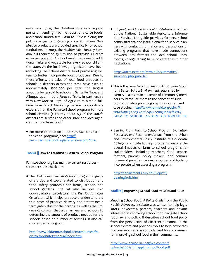nor's task force, the Nutrition Rule sets require‐ ments on vending machine foods, a la carte foods, and school fundraisers. *Farm to Table* is aiding this policy change by organizing a system where New Mexico products are provided specifically for school fundraisers. In 2009, the *Healthy Kids ‐ Healthy Econ‐ omy* bill requested \$3.8 million to provide 25 cents extra per plate for 2 school meals per week in addi‐ tional fruits and vegetable for every school child in the state. At the local level, organizers have been reworking the school district food purchasing sys‐ tem to better incorporate local producers. Due to these efforts, the sales of local food products to schools in districts across the state have risen to approximately \$500,000 per year, the largest amounts being sold to schools in Santa Fe, Taos, and Albuquerque. In 2010 *Farm to Table*, in partnership with New Mexico Dept. of Agriculture hired a fulltime Farm Direct Marketing person to coordinate expansion of the Farm-to-School program to more school districts (currently about 1/3 of the state's districts are served) and other state and local agen‐ cies that purchase food.<sup>17</sup>

For more information about New Mexico's Farm to School programs, see: http:// www.farmtoschool.org/state‐home.php?id=6

#### *Toolkit || How to Establish a Farm to School Program*

Farmtoschool.org has many excellent resources – for other tools check out:

The *Oklahoma Farm‐to‐School* program's guide offers tips and tools related to distribution and food safety protocols for farms, schools and school gardens. The kit also includes two downloadable calculators: *the Distribution Cost Calculator*, which helps producers understand the true costs of produce delivery and determines a farm gate value for their crops; as well as the *Pro‐ duce Calculator*, that aids farmers and schools to determine the amount of produce needed for the schools based on number of servings. It also cal‐ culates per serving cost.

http://www.okfarmtoschool.com/resources/fts‐ distro-foodsafetymanual/index.htm

*Bringing Local Food to Local Institutions* is written by the National Sustainable Agriculture Informa‐ tion Service. The guide provides farmers, school administrators, and institutional food‐service plan‐ ners with contact information and descriptions of existing programs that have made connections between local farmers and local school lunch‐ rooms, college dining halls, or cafeterias in other institutions.

https://attra.ncat.org/attra-pub/summaries/ summary.php?pub=261

- This is the *Farm to School 101 Toolkit: Growing Food for a Better School Environment*, published by Farm Aid, aims at an audience of community mem‐ bers to introduce them to the concept of such programs, while providing steps, resources, and case studies: http://www.farmaid.org/atf/cf/% 7B6ef41923‐f003‐4e0f‐a4a6‐ae0031db12fb%7D/ FARM\_TO\_SCHOOL\_101-FARM\_AID\_TOOLKIT.PDF
- *Bearing Fruit: Farm to School Program Evaluation Resources and Recommendations* from the Urban and Environmental Policy Institute at Occidental College is a guide to help programs analyze the overall impacts of farm to school programs for stakeholders—including teachers, food service, farmers, parents, policy makers, and commu‐ nity—and provides various resources and tools to incorporate when assessing a program.

http://departments.oxy.edu/uepi/cfj/ bearingfruit.htm

#### *Toolkit ||* **Improving** *School Food Policies and Rules*

*Mapping School Food: A Policy Guide* from the Public Health Advocacy Institute was written to help legis‐ lators, advocates, parents, teachers and anyone interested in improving school food navigate school food law and policy. It describes school food policy from the perspective of different personnel in the school system and provides tools to help advocates find answers, resolve conflicts, and build consensus for improving school food in their community.

http://www.phaionline.org/wp-content/ uploads/2007/11/mappingschoolfood.pdf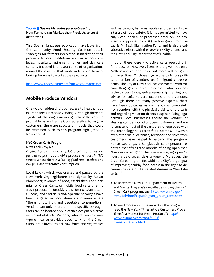## *Toolkit || Nuevos Mercados para su Cosecha***; How Farmers can Market their Products** *to Local Institutions*

This Spanish‐language publication, available from the Community Food Security Coalition details strategies for farmers interested in marketing their products to local institutions such as schools, col‐ leges, hospitals, retirement homes and day care centers. Included is a resource list of organizations around the country that work with Latino farmers looking for ways to market their products.

http://www.foodsecurity.org/NuevosMercados.pdf

## **Mobile Produce Vendors**

One way of addressing poor access to healthy food in urban areas is mobile vending. Although there are significant challenges including making the venture profitable as well as reliably accessible to regular customers, there are successful models that could be examined, such as this program highlighted in New York City.

#### **NYC Green Carts Program New York City, NY**

*Originating as a 200‐cart pilot program, it has ex‐ panded to put 1,000 mobile produce vendors in NYC streets where there is a lack of food retail outlets and low fruit and vegetable consumption.* 

Local Law 9, which was drafted and passed by the New York City legislature and signed by Mayor Bloomberg in March of 2008, established 1,000 per‐ mits for Green Carts, or mobile food carts offering fresh produce in Brooklyn, the Bronx, Manhattan, Queens, and Staten Island. Specific boroughs have been targeted as food deserts and areas where "there is low fruit and vegetable consumption." Vendors can only operate in one specific borough. Carts can be located only in certain designated areas within sub-districts. Vendors, who obtain this new type of license provided specifically for the Green Carts, are allowed to sell raw fruits and vegetables such as carrots, bananas, apples and berries. In the interest of food safety, it is not permitted to have cut, sliced, peeled, or processed produce. The pro‐ gram is supported by a \$1.5 million grant from the Laurie M. Tisch Illumination Fund, and is also a col‐ laborative effort with the New York City Council and the New York City Department of Health.

In 2010, there were 450 active carts operating in food deserts. However, licenses are given out on a "rolling application" basis and more will be given out over time. Of those 450 active carts, a signifi‐ cant number of vendors are immigrant entrepre‐ neurs. The City of New York has contracted with the consulting group, Karp Resources, who provides technical assistance, entrepreneurship training and advice for suitable cart locations to the vendors. Although there are many positive aspects, there have been obstacles as well, such as complaints from vendors with the physical stability of the carts and regarding violation tickets despite holding legal permits. Local businesses accuse the vendors of stealing competition of grocery customers, and un‐ fortunately, most of the carts are not equipped with the technology to accept food stamps. However, even after the pilot phase, feedback and sales from customers have helped to expand the program. Kumar Gouranga, a Bangladeshi cart operator, re‐ ported that after three months of being open that, "business is so good that we are staying open 24 hours a day, seven days a week". Moreover, the Green Carts program fits within the City's larger goal of improving healthy food access in the fight to de‐ crease the rate of diet‐related disease in "food de‐ serts."<sup>18</sup>

- To access the New York Department of Health and Mental Hygiene's website describing the NYC Green Cart program, see: http://www.nyc.gov/ html/doh/html/cdp/cdp\_pan\_green\_carts.shtml
- To read more about the impact of the program, read the *New York Times* article Customers Prove There's a Market for Fresh Produce": http:// www.nytimes.com/2009/06/11/ nyregion/11carts.html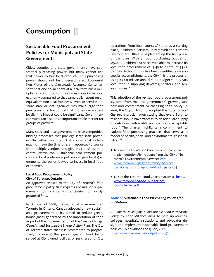## **Consumption ||**

## **Sustainable Food Procurement Policies for Municipal and State Governments**

Cities, counties and state governments have sub‐ stantial purchasing power, but many cannot use that power to buy local products. This purchasing power should not be underestimated. Economist Ken Meter of the Crossroads Resource Center as‐ serts that one dollar spent at a local farm has a mul‐ tiplier effect of two to three times more in the local economy compared to that same dollar spent on an equivalent non-local business. Even otherwise obscure state or local agencies may make large food purchases. If a fraction of that money were spent locally, the impact could be significant. Government contracts can also be an important stable market for groups of growers.

Many state and local governments have competitive bidding processes that privilege large‐scale provid‐ ers that offer their product at a lower cost. Others may not have the time or staff resources to source from multiple vendors, and give their business to a central distributor. Sustainable procurement poli‐ cies and local preference policies can give local gov‐ ernments the policy leeway to invest in local food economies.

#### **Local Food Procurement Policy City of Toronto, Ontario**

*An approved update to the City of Toronto's food procurement policy that requires the municipal gov‐ ernment to increase its purchasing of locally‐ produced food.*

In October of 2008, the municipal government of Toronto in Ontario, Canada adopted a new sustain‐ able procurement policy aimed to reduce greenhouse gases generated by the importation of food as part of the implementation of the *Climate Change, Clean Air and Sustainable Energy Action* Plan. The City of Toronto states that it is "committed to progres‐ sively increasing the percentage of food being served at City-owned facilities or purchased for City operations from local sources,"*<sup>17</sup>* and as a starting place, Children's Services, jointly with the Toronto Environment Office, is implementing the first phase of the plan. With a food purchasing budget of \$15,000, Children's Services was able to increase its local food procurement of 13.4% to a total of 33.4% by 2010. Although this has been identified as a suc‐ cessful accomplishment, the City in is the process of using its \$11 million annual food budget to buy 50% local food in supplying daycares, shelters, and sen‐ iors' homes.<sup>19</sup>

This adoption of the revised food procurement pol‐ icy came from the local government's growing sup‐ port and commitment to changing food policy. In 2001, the City of Toronto adopted the *Toronto Food Charter*, a proclamation stating that every Toronto resident should have "access to an adequate supply of nutritious, affordable and culturally acceptable food." The charter highlights a commitment to "adopt food purchasing practices that serve as a model of health, social and environmental responsi‐ bility."<sup>20</sup>

- To view the *Local Food Procurement Policy and Implementation Plan‐Update* from the City of To‐ ronto's Environmental Service: http:// www.toronto.ca/legdocs/mmis/2008/cc/ decisions/2008‐10‐29‐cc25‐dd.pdf (page 30)
- To see the Toronto Food Charter, access: http:// www.toronto.ca/food\_hunger/pdf/ food\_charter.pdf

## *Toolkit ||* **Sustainable** *Food Purchasing Policies for Institutions*

*A Guide to Developing a Sustainable Food Purchasing Policy* by Food Alliance aims to help universities, colleges, hospitals, institutions, and advocates de‐ sign and implement sustainable food procurement policies. To download the guide, visit: http://www.sustainablefoodpolicy.org/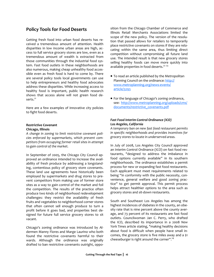## **Policy Tools for Food Deserts**

Getting fresh food into urban food deserts has re‐ ceived a tremendous amount of attention. Health disparities in low income urban areas are high, ac‐ cess to full service grocery stores are low, even as a tremendous amount of wealth is extracted from those communities through the industrial food sys‐ tem. Fast food outlets in these neighborhoods are also numerous, making cheap unhealthy food acces‐ sible even as fresh food is hard to come by. There are several policy tools local governments can use to help entrepreneurs and healthy food advocates address these disparities. While increasing access to healthy food is important, public health research shows that access alone will not green food de‐ serts.<sup>21</sup>

Here are a few examples of innovative city policies to fight food deserts.

#### **Restrictive Covenant Chicago, Illinois**

*A change in zoning to limit restrictive covenant poli‐ cies enforced by supermarkets, which prevent com‐ petitors from occupying former retail sites in attempt to gain control of the market.*

In September of 2005, the Chicago City Council ap‐ proved an ordinance intended to increase the avail‐ ability of fresh produce by addressing a longstand‐ ing, contentious policy of grocery store covenants. These land use agreements have historically been employed by supermarkets and drug stores to pre‐ vent competitors from making use of former store sites as a way to gain control of the market and foil the competition. The results of the practice often produce two kinds of neighborhood redevelopment challenges: they restrict the availability of fresh fruits and vegetables to neighborhood corner stores that often cannot sell enough produce to turn a profit before it goes bad, and properties best de‐ signed for future full service grocery stores to sit vacant.

Chicago's zoning ordinance was introduced by Al‐ dermen Manny Flores and Marge Laurino who both found the restrictive covenants harmful to their wards. Although the ordinance was originally drafted to ban restrictive covenants outright, oppo‐ sition from the Chicago Chamber of Commerce and Illinois Retail Merchants Associations limited the scope of the new policy. The version of the resolution that passed allows for retailers to temporarily place restrictive covenants on stores if they are relo‐ cating within the same area, thus limiting direct competition without compromising all future land use. The intended result is that new grocery stores selling healthy foods can move more quickly into available properties in food deserts. $^{22}$   $^{23}$ 

- To read an article published by the Metropolitan Planning Council on the ordinance: http:// www.metroplanning.org/news‐events/ article/3293
- For the language of Chicago's zoning ordinance, see: http://www.metroplanning.org/uploads/cms/ documents/restrictive\_covenants.pdf

## *Fast Food Interim Control Ordinance (ICO) Los Angeles, California*

*A temporary ban on new fast food restaurant permits in specific neighborhoods and provides incentives for grocery stores to locate in underserved areas.* 

In July of 2008, Los Angeles City Council approved an Interim Control Ordinance (ICO) on fast food restaurants, "designed to address the imbalance in food options currently available" in its southern neighborhoods. The ordinance establishes a permit process for new or expanding fast food restaurants. Each applicant must meet requirements related to being "in conformity with the public necessity, convenience, general welfare and good zoning prac‐ tice" to get permit approval. This permit process helps attract healthier options to the area such as grocery stores and sit‐down restaurants.

South and Southeast Los Angeles has among the highest incidences of diabetes in the county, an obe‐ sity rate that is nine percent above the county average, and 73 percent of its restaurants are fast food outlets. Councilwoman Jan C. Perry, who drafted the ICO, described its importance in a 2008 *New York Times* article stating, "making healthy decisions about food is difficult when people have small in‐ comes, the grocery store is five miles away and a \$1 cheeseburger is right around the corner".<sup>24</sup>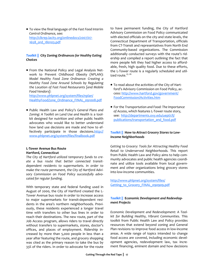To view the final language of the *Fast Food Interim Control Ordinance*, see: http://clkrep.lacity.org/onlinedocs/2007/07‐ 1658\_ord\_180103.pdf

## *Toolkit ||* **City Zoning** *Ordinances for Healthy Eating Choices*

● From the National Policy and Legal Analysis Network to Prevent Childhood Obesity (NPLAN): *Model Healthy Food Zone Ordinance: Creating a Healthy Food Zone Around Schools by Regulating the Location of Fast Food Restaurants [and Mobile Food Vendors]*: http://www.phlpnet.org/system/files/nplan/

HealthyFoodZone\_Ordinance\_FINAL\_091008.pdf

Public Health Law and Policy's *General Plans and Zoning: A Toolkit on Land Use and Health* is a tool‐ kit designed for nutrition and other public health advocates who would like to better understand how land use decisions are made and how to ef‐ fectively participate in those decisions.http:// www.phlpnet.org/system/files/finalbook.pdf

#### **L‐Tower Avenue Bus Route Hartford, Connecticut**

*The City of Hartford utilized temporary funds to cre‐ ate a bus route that better connected transit‐ dependent residents to supermarkets. In order to make the route permanent, the City of Hartford Advi‐ sory Commission on Food Policy successfully advo‐ cated for regular funding.*

With temporary state and federal funding used in August of 2000, the City of Hartford created the L‐ Tower Avenue bus route in order to increase access to major supermarkets for transit‐dependent resi‐ dents in the area's northern neighborhoods. Previ‐ ously, these residents experienced a longer travel time with transfers to other bus lines in order to reach their destinations. The new route, part of the Job Access program, allows riders to travel directly without transfers to supermarkets, stores, doctor's offices, and places of employment. Ridership in‐ creased by more than 5,000 people in less than a year after featuring the route, and grocery shopping was cited as the primary reason to take the bus by 33% of the riders. In order to advocate for the route

to have permanent funding, the City of Hartford Advisory Commission on Food Policy communicated with elected officials on the city and state levels, the Connecticut Department of Transportation, officials from CT‐Transit and representatives from North End Community‐based organizations. The Commission additionally conducted surveys with the route's rid‐ ership and compiled a report outlining the fact that more people felt they had higher access to afford‐ able, fresh, high quality food. Due to these efforts, the L‐Tower route is a regularly scheduled and util‐ ized route.<sup>25</sup> <sup>26</sup>

- To read about the activities of the City of Hartford's Advisory Commission on Food Policy, ac‐ cess: http://www.hartford.gov/government/ FoodCommission/Activities.htm
- For the *Transportation and Food: The Importance of Access*, which features L‐Tower route story, see: http://departments.oxy.edu/uepi/cfj/ publications/transportation\_and\_food.pdf

## *Toolkit ||* **How to** *Attract Grocery Stores to Low‐ Income Neighborhoods*

*Getting to Grocery: Tools for Attracting Healthy Food Retail to Underserved Neighborhoods.* This report from Public Health Law and Policy aims to help com‐ munity advocates and public health agencies coordi‐ nate and utilize tools available from local govern‐ ment and other organizations bring grocery stores into low‐income communities.

http://www.phlpnet.org/system/files/ Getting to Grocery FINAL 090909.pdf

## *Toolkit ||* **Economic** *Development and Redevelop‐ ment Projects*

*Economic Development and Redevelopment: A Tool‐ kit for Building Healthy, Vibrant Communities*. This toolkit from Public Health Law and Policy provides resources that extend beyond zoning and General Plan revisions to improve food access in low‐income areas. A wide range of topics intended to change food access are covered, including economic devel‐ opment agencies, redevelopment law, tax incre‐ ment financing, eminent domain and how decisions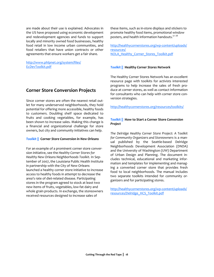are made about their use is explained. Advocates in the US have proposed using economic development and redevelopment agencies and funds to support locally and minority owned food businesses, healthy food retail in low income urban communities, and food retailers that have union contracts or other agreements that ensure workers get a fair share.

http://www.phlpnet.org/system/files/ EcDevToolkit.pdf

**Corner Store Conversion Projects**

Since corner stores are often the nearest retail out‐ let for many underserved neighborhoods, they hold potential for offering more accessible, healthy foods to customers. Doubling shelf space dedicated to fruits and cooking vegetables, for example, has been shown to increase sales. Making this change is a financial and organizational challenge for store owners, but city and community initiatives can help.

#### *Toolkit ||* **Corner** *Store Conversion in New Orleans*

For an example of a prominent corner store conver‐ sion initiative, see the *Healthy Corner Stores for Healthy New Orleans Neighborhoods Toolkit.* In Sep‐ tember of 2007, the Louisiana Public Health Institute in partnership with the City of New Orleans launched a healthy corner store initiative to increase access to healthy foods in attempt to decrease the area's rate of diet‐related disease. Participating stores in the program agreed to stock at least two new items of fruits, vegetables, low-fat dairy and whole grain products. In exchange, the storeowners received resources designed to increase sales of

these items, such as in‐store displays and stickers to promote healthy food items, promotional window posters, and health information handouts.<sup>27</sup> 28

http://healthycornerstores.org/wp-content/uploads/ resources/ NOLA Healthy Corner Stores Toolkit.pdf

#### *Toolkit ||* **Healthy** *Corner Stores Network*

The Healthy Corner Stores Network has an excellent resource page with toolkits for activists interested programs to help increase the sales of fresh pro‐ duce at corner stores, as well as contact information for consultants who can help with corner store conversion strategies.

http://healthycornerstores.org/resources/toolkits/

## *Toolkit ||* **How to Start a Corner Store** *Conversion Project*

*The Delridge Healthy Corner Store Project: A Toolkit for Community Organizers and Storeowners* is a man‐ ual published by the Seattle‐based Delridge Neighborhoods Development Association (DNDA) and the University of Washington (UW) Department of Urban Design and Planning. The document in‐ cludes technical, educational and marketing infor‐ mation and templates for implementing and manag‐ ing a converted corner store that provides fresh food to local neighborhoods. The manual includes two separate toolkits intended for community or‐ ganizers and for participating stores.

http://healthycornerstores.org/wp-content/uploads/ resources/Delridge\_HCS\_Toolkit.pdf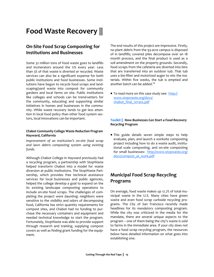# **Food Waste Recovery ||**

## **On‐Site Food Scrap Composting for Institutions and Businesses**

Some 32 million tons of food waste goes to landfills and incinerators around the US every year. Less than 3% of that waste is diverted or recycled. Waste services can also be a significant expense for both public institutions and food businesses. Some insti‐ tutions have begun to recycle food scraps and land‐ scaping/yard waste into compost for community gardens and local farms on site. Public institutions like colleges and schools can be trend‐setters for the community, educating and supporting similar initiatives in homes and businesses in the community. While waste recovery tends to get less atten‐ tion in local food policy than other food system sec‐ tors, local innovations can be important.

## **Chabot Community College Waste Reduction Program Hayward, California**

*Improvement of an institution's on‐site food scrap and lawn debris composting system using existing* funds.

Although Chabot College in Hayward previously had a recycling program, a partnership with StopWaste helped transform Chabot into a model for waste diversion at public institutions. The StopWaste Part‐ nership, which provides free technical assistance services for local businesses and public agencies, helped the college develop a goal to expand on the its existing landscape composting operations to include on‐site food scraps. The challenges of com‐ pleting the project were daunting: neighbors were sensitive to the visibility and odors of decomposing food, California has strict quantity requirements for compost sites, and Chabot had no funding to pur‐ chase the necessary containers and equipment and needed technical knowledge to start the program. Fortunately, StopWaste was able to provide support through research and training, supplying compost covers as well as finding grant funding for the equip‐ ment.

The end results of this project are impressive. Firstly, no plant debris from the 93‐acre campus is disposed of in landfills; covered piles decompose over an 18 month process, and the final product is used as a soil amendment on the property grounds. Secondly, food scraps from the cafeteria are diverted into bins that are transferred into an outdoor tub. That tub uses a bio‐filter and motorized auger to mix the ma‐ terials. Within five weeks, the tub is emptied and another batch can be added. $^{29}$ 

**•** To read more on this case study see: http:// www.stopwaste.org/docs/ chabot\_final\_101305.pdf

## *Toolkit ||* **How** *Businesses Can Start a Food Recovery Recycling Program*

This guide details seven simple steps to help evaluate, plan, and launch a worksite composting project including how to do a waste audit, institu‐ tional scale composting, and on‐site composting for small businesses: http://www.stopwaste.org/ docs/compost\_at\_work.pdf

## **Municipal Food Scrap Recycling Programs**

On average, food waste makes up 12.7% of total mu‐ nicipal waste in the U.S. Many cities have green waste and even food scrap curbside recycling pro‐ grams. The City of San Francisco recently made headlines for its *mandatory* composting program. While the city was criticized in the media for the mandate, there are several unique aspects to the program – one of them being the city's waste is sold to farms in the immediate area. If your city does not have a food scrap recycling program, the resources below have detailed information on what goes into establishing one.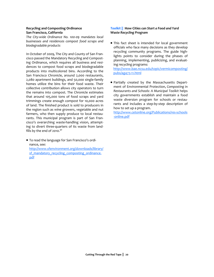## **Recycling and Composting Ordinance San Francisco, California**

*The City‐wide Ordinance No. 100‐09 mandates local businesses and residences compost food scraps and biodegradable products*

In October of 2009, The City and County of San Fran‐ cisco passed the Mandatory Recycling and Compost‐ ing Ordinance, which requires all business and resi‐ dences to compost food scraps and biodegradable products into multicolored bins. According to the San Francisco Chronicle, around 2,000 restaurants, 2,080 apartment buildings, and 50,000 single‐family homes utilize the bins for their food waste. Their collective contribution allows city operators to turn the remains into compost. The Chronicle estimates that around 105,000 tons of food scraps and yard trimmings create enough compost for 10,000 acres of land. The finished product is sold to producers in the region such as wine growers, vegetable and nut farmers, who then supply produce to local restaurants. This municipal program is part of San Fran‐ cisco's overarching waste‐handling vision, attempt‐ ing to divert three‐quarters of its waste from land‐ fills by the end of  $2010.^{30}$ 

● To read the language for San Francisco's ordinance, see: http://www.sfenvironment.org/downloads/library/ sf\_mandatory\_recycling\_composting\_ordinance. pdf

## *Toolkit ||* **How Cities** *can Start a Food and Yard Waste Recycling Program*

This fact sheet is intended for local government officials who face many decisions as they develop recycling community programs. The guide highlights points to consider during the phases of planning, implementing, publicizing, and evaluat‐ ing recycling programs:

http://www.bae.ncsu.edu/topic/vermicomposting/ pubs/ag473‐11.html

Partially created by the Massachusetts Depart‐ ment of Environmental Protection, *Composting in Restaurants and Schools: A Municipal Toolkit* helps city governments establish and maintain a food waste diversion program for schools or restaurants and includes a step‐by‐step description of how to set up a program.

http://www.cetonline.org/Publications/res-schools ‐online.pdf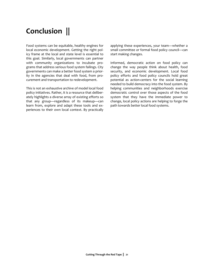## **Conclusion ||**

Food systems can be equitable, healthy engines for local economic development. Getting the right pol‐ icy frame at the local and state level is essential to this goal. Similarly, local governments can partner with community organizations to incubate programs that address serious food system failings. City governments can make a better food system a prior‐ ity in the agencies that deal with food, from pro‐ curement and transportation to redevelopment.

This is not an exhaustive archive of model local food policy initiatives. Rather, it is a resource that deliber‐ ately highlights a diverse array of existing efforts so that any group—regardless of its makeup—can learn from, explore and adapt these tools and ex‐ periences to their own local context. By practically applying these experiences, your team—whether a small committee or formal food policy council—can start making changes.

Informed, democratic action on food policy can change the way people think about health, food security, and economic development. Local food policy efforts and food policy councils hold great potential as action-centers for the social learning needed to build democracy into the food system. By helping communities and neighborhoods exercise democratic control over those aspects of the food system that they have the immediate power to change, local policy actions are helping to forge the path towards better local food systems.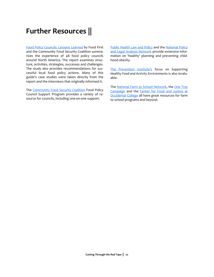## **Further Resources ||**

Food Policy Councils: Lessons Learned by Food First and the Community Food Security Coalition summa‐ rizes the experience of 48 food policy councils around North America. The report examines struc‐ ture, activities, strategies, successes and challenges. The study also provides recommendations for successful local food policy actions. Many of this guide's case studies were taken directly from the report and the interviews that originally informed it.

The Community Food Security Coalition Food Policy Council Support Program provides a variety of re‐ source for councils, including one‐on‐one support.

Public Health Law and Policy and the National Policy and Legal Analysis Network provide extensive information on 'healthy' planning and preventing child‐ hood obesity.

The Prevention Institute's focus on *Supporting Healthy Food and Activity Environments* is also invalu‐ able.

The National Farm to School Network, the One Tray Campaign and the Center for Food and Justice at Occidental College all have great resources for farm to school programs and beyond.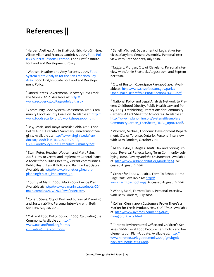## **References ||**

1 Harper, Alethea, Annie Shattuck, Eric Holt‐Giménez, Alison Alkon and Frances Lambrick. 2009. Food Pol‐ icy Councils: Lessons Learned. Food First/Institute for Food and Development Policy.

<sup>2</sup> Wooten, Heather and Amy Parente. 2009. Food System Meta‐Analysis for the San Francisco Bay Area. Food First/Institute For Food and Develop‐ ment Policy.

<sup>3</sup> United States Government. Recovery. Gov: Track the Money. 2010. Available at: http:// www.recovery.gov/Pages/default.aspx

<sup>4</sup> Community Food System Assessment. 2010. Com‐ munity Food Security Coalition. Available at: http:// www.foodsecurity.org/trworkshops2000.html.

<sup>5</sup> Ray, Jessie, and Tanya Denckla Cobb. 2010. Food Policy Audit: Executive Summary. University of Vir‐ ginia. Available at: http://www.virginia.edu/ien/ docs/07FoodClassFINAL%20PAPERS/ UVA\_FoodPolicyAudit\_ExecutiveSummary.pdf.

<sup>6</sup> Stair, Peter, Heather Wooten, and Matt Raim. 2008. How to Create and Implement General Plans: A toolkit for building healthy, vibrant communities. Public Health Law & Policy and Raimi + Associates. Available at: http://www.phlpnet.org/healthyplanning/create\_implement\_gp.

<sup>7</sup> County of Marin. 2008. Marin Countywide Plan. Available at: http://www.co.marin.ca.us/depts/CD/ main/comdev/ADVANCE/cwp/index.cfm.

<sup>8</sup> Cohen, Steve, City of Portland Bureau of Planning and Sustainability. Personal interview with Beth Sanders, August, 2010.

9Oakland Food Policy Council. 2009. Cultivating the Commons. Available at: http:// www.oaklandfood.org/home/ cultivating the commons.

<sup>10</sup> Saneli, Michael, Department of Legislative Services, Maryland General Assembly. Personal inter‐ view with Beth Sanders, July 2010.

<sup>11</sup> Taggart, Morgan, City of Cleveland. Personal interview with Annie Shattuck, August 2011, and Septem‐ ber 2010.

<sup>12</sup> City of Boston. *Open Space Plan 2008‐2012*. Avail‐ able at: http://www.cityofboston.gov/parks/ OpenSpace\_07draft/OSP0812Section7.3.2CG.pdf.

<sup>13</sup> National Policy and Legal Analysis Network to Prevent Childhood Obesity, Public Health Law and Pol‐ icy. 2009. Establishing Protections for Community Gardens: A Fact Sheet for Advocates. Available at: http://www.nplanonline.org/system/files/nplan/ CommunityGarden\_FactSheet\_FINAL\_091021.pdf.

<sup>14</sup> Wolfson, Michael, Economic Development Department, City of Toronto, Ontario. Personal interview with Beth Sanders, October 2010.

<sup>15</sup> Allen-Taylor, J. Doglas. 2008. Oakland Zoning Proposal Reversal Reflects Long‐Term Community Lob‐ bying. *Race, Poverty and the Environment*. Available at: http://www.urbanhabitat.org/node/1744. Ac‐ cessed August 19, 2011.

<sup>16</sup> Center for Food & Justice. Farm To School Home Page. 2011. Available at: http:// www.farmtoschool.org/. Accessed August 19, 2011.

<sup>17</sup> Winne, Mark, Farm to Table. Personal interview with Beth Sanders, July 2010.

<sup>18</sup> Collins, Glenn. 2009. Customers Prove There's a Market for Fresh Produce. *New York Times*. Available at: http://www.nytimes.com/2009/06/11/ nyregion/11carts.html.

<sup>19</sup> Toronto Environmental Office and Children's Services. 2009. Local Food Procurement Policy and Im‐ plementation Plan–Update. Available at: http:// www.toronto.ca/legdocs/mmis/2009/gm/bgrd/ backgroundfile‐22345.pdf.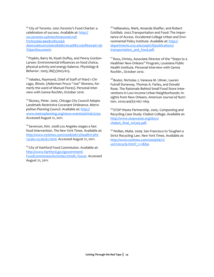<sup>20</sup> City of Toronto. 2001. Toronto's Food Charter: a celebration of success. Available at: http:// wx.toronto.ca/inter/it/newsrel.nsf/ f75f03566c96e82285256d‐ de005a662e/5cbd058dd670e3e885256df60046113b ?OpenDocument.

<sup>21</sup> Popkin, Barry M, Kiyah Duffey, and Penny Gordon-Larsen. Environmental influences on food choice, physical activity and energy balance. *Physiology & Behavior*. 2005; 86(5):603‐613.

<sup>22</sup> Valadez, Raymond, Chief of Staff of Ward 1 Chicago, Illinois. (Alderman Proco "Joe" Moreno, for‐ merly the ward of Manuel Flores). Personal inter‐ view with Genna Rochlin, October 2010.

<sup>23</sup> Skosey, Peter. 2005. Chicago City Council Adopts Landmark Restrictive Covenant Ordinance. *Metro‐ politan Planning Council*. Available at: http:// www.metroplanning.org/news‐events/article/3293. Accessed August 21, 2011.

<sup>24</sup> Severson, Kim. 2008. Los Angeles stages a fast food intervention. *The New York Times*. Available at: http://www.nytimes.com/2008/08/13/health/13iht‐ 13calo.15226261.html. Accessed August 21, 2011.

<sup>25</sup> City of Hartford Food Commission. Available at: http://www.hartford.gov/government/ FoodCommission/Activities.htm#L‐Tower. Accessed August 21, 2011.

<sup>26</sup> Vallianatos, Mark, Amanda Shaffer, and Robert Gottlieb. 2002.Transportation and Food: The Impor‐ tance of Access. Occidental College Urban and Envi‐ ronmental Policy Institute. Available at: http:// departments.oxy.edu/uepi/cfj/publications/ transportation and food.pdf.

<sup>27</sup> Ross, Christy, Associate Director of the "Steps to a Healthier New Orleans" Program, Louisiana Public Health Institute. Personal interview with Genna Rochlin , October 2010.

<sup>28</sup> Bodor, Nicholas J, Vanessa M. Ulmer, Lauren Futrell Dunaway, Thomas A. Farley, and Donald Rose. The Rationale Behind Small Food Store Inter‐ ventions in Low‐Income Urban Neighborhoods: In‐ sights from New Orleans. *American Journal of Nutri‐ tion*. 2010;140(6):1167‐1169.

<sup>29</sup> STOP Waste Partnership. 2005. Composting and Recycling Case Study: Chabot College. Available at: http://www.stopwaste.org/docs/ chabot\_final\_101305.pdf.

<sup>30</sup> Wollan, Malia. 2009. San Francisco to Toughen a Strict Recycling Law. *New York Times*. Available at: http://www.nytimes.com/2009/06/11/ us/11recycle.html? r=1&hp.